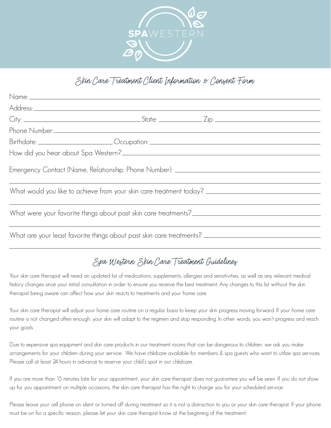

## Skin Care Treatment Client Information & Consent Form

| Birthdate: _________________________Occupation: ________________________________  |  |  |
|-----------------------------------------------------------------------------------|--|--|
|                                                                                   |  |  |
| Emergency Contact (Name, Relationship, Phone Number): ___________________________ |  |  |
|                                                                                   |  |  |
|                                                                                   |  |  |
|                                                                                   |  |  |

## Spa Western Skin Care Treatment Guidelines

Your skin care therapist will need an updated list of medications, supplements, allergies and sensitivities, as well as any relevant medical history changes since your initial consultation in order to ensure you receive the best treatment. Any changes to this list without the skin therapist being aware can affect how your skin reacts to treatments and your home care.

Your skin care therapist will adjust your home care routine on a regular basis to keep your skin progress moving forward. If your home care routine is not changed often enough, your skin will adapt to the regimen and stop responding. In other words, you won't progress and reach your goals.

Due to expensive spa equipment and skin care products in our treatment rooms that can be dangerous to children, we ask you make arrangements for your children during your service. We have childcare available for members & spa guests who want to utilize spa services. Please call at least 24 hours in advance to reserve your child's spot in our childcare.

If you are more than 15 minutes late for your appointment, your skin care therapist does not guarantee you will be seen. If you do not show up for you appointment on multiple occasions, the skin care therapist has the right to charge you for your scheduled service.

Please leave your cell phone on silent or turned off during treatment so it is not a distraction to you or your skin care therapist. If your phone must be on for a specific reason, please let your skin care therapist know at the beginning of the treatment.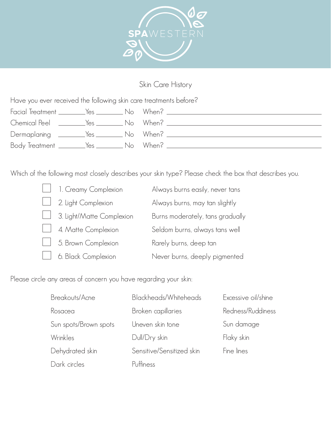

## Skin Care History

Have you ever received the following skin care treatments before?

|  | Facial Treatment __________Yes _____________No When? ___________________________ |
|--|----------------------------------------------------------------------------------|
|  |                                                                                  |
|  | Dermaplaning __________Yes __________ No When? _________________________________ |
|  | Body Treatment ________Yes __________ No When? _________________________________ |

Which of the following most closely describes your skin type? Please check the box that describes you.

| 1. Creamy Complexion      | Always burns easily, never tans  |
|---------------------------|----------------------------------|
| 2. Light Complexion       | Always burns, may tan slightly   |
| 3. Light/Matte Complexion | Burns moderately, tans gradually |
| 4. Matte Complexion       | Seldom burns, always tans well   |
| 5. Brown Complexion       | Rarely burns, deep tan           |
| 6. Black Complexion       | Never burns, deeply pigmented    |

Please circle any areas of concern you have regarding your skin:

| Breakouts/Acne        | Blackheads/Whiteheads     | Excessive oil/shine |
|-----------------------|---------------------------|---------------------|
| Rosacea               | Broken capillaries        | Redness/Ruddiness   |
| Sun spots/Brown spots | Uneven skin tone          | Sun damage          |
| Wrinkles              | Dull/Dry skin             | Flaky skin          |
| Dehydrated skin       | Sensitive/Sensitized skin | Fine lines          |
| Dark circles          | Puffiness                 |                     |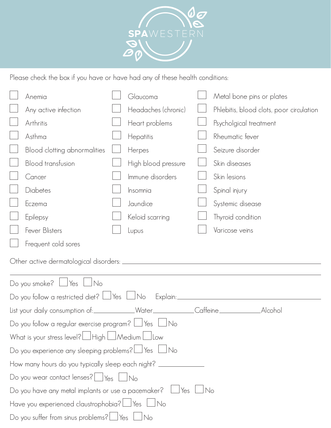

Please check the box if you have or have had any of these health conditions:

| Anemia                                                                           |  | Glaucoma            |      | Metal bone pins or plates                |
|----------------------------------------------------------------------------------|--|---------------------|------|------------------------------------------|
| Any active infection                                                             |  | Headaches (chronic) |      | Phlebitis, blood clots, poor circulation |
| Arthritis                                                                        |  | Heart problems      |      | Psycholgical treatment                   |
| Asthma                                                                           |  | Hepatitis           |      | Rheumatic fever                          |
| Blood clotting abnormalities                                                     |  | Herpes              |      | Seizure disorder                         |
| <b>Blood transfusion</b>                                                         |  | High blood pressure |      | Skin diseases                            |
| Cancer                                                                           |  | Immune disorders    |      | Skin lesions                             |
| Diabetes                                                                         |  | Insomnia            |      | Spinal injury                            |
| Eczema                                                                           |  | Jaundice            |      | Systemic disease                         |
| Epilepsy                                                                         |  | Keloid scarring     |      | Thyroid condition                        |
| <b>Fever Blisters</b>                                                            |  | Lupus               |      | Varicose veins                           |
| Frequent cold sores                                                              |  |                     |      |                                          |
|                                                                                  |  |                     |      |                                          |
| Do you smoke? $\Box$ Yes<br>$\Box$ No                                            |  |                     |      |                                          |
| Do you follow a restricted diet? $\Box$ Yes $\Box$ No                            |  |                     |      |                                          |
| List your daily consumption of:____________Water____________Caffeine____________ |  |                     |      | _Alcohol                                 |
| Do you follow a regular exercise program? $\Box$ Yes $\Box$<br><b>No</b>         |  |                     |      |                                          |
| What is your stress level? High LAMedium LU                                      |  |                     |      |                                          |
| Do you experience any sleeping problems? $\Box$ Yes $\Box$ No                    |  |                     |      |                                          |
| How many hours do you typically sleep each night? ______                         |  |                     |      |                                          |
| Do you wear contact lenses? $\Box$ Yes $\Box$ No                                 |  |                     |      |                                          |
| Do you have any metal implants or use a pacemaker? $\Box$ Yes                    |  |                     | No_l |                                          |
| Have you experienced claustrophobia? Ses Lino                                    |  |                     |      |                                          |
| Do you suffer from sinus problems? $\Box$ Yes $\Box$                             |  | $\Box$ No           |      |                                          |